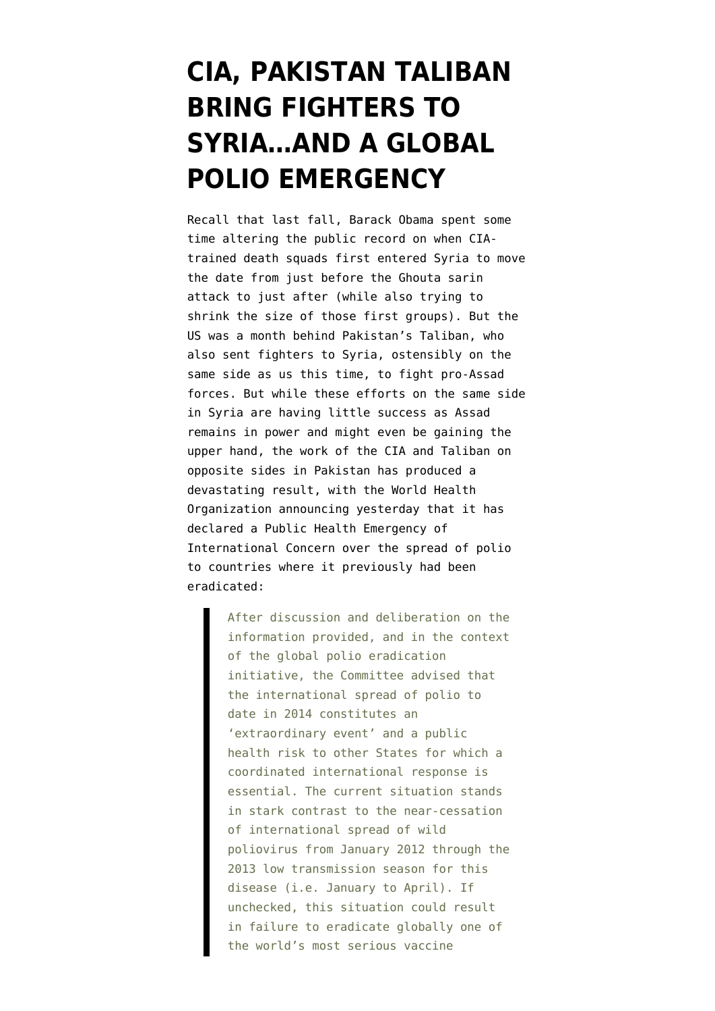## **[CIA, PAKISTAN TALIBAN](https://www.emptywheel.net/2014/05/06/cia-pakistan-taliban-bring-fighters-to-syria-and-a-global-polio-emergency/) [BRING FIGHTERS TO](https://www.emptywheel.net/2014/05/06/cia-pakistan-taliban-bring-fighters-to-syria-and-a-global-polio-emergency/) [SYRIA…AND A GLOBAL](https://www.emptywheel.net/2014/05/06/cia-pakistan-taliban-bring-fighters-to-syria-and-a-global-polio-emergency/) [POLIO EMERGENCY](https://www.emptywheel.net/2014/05/06/cia-pakistan-taliban-bring-fighters-to-syria-and-a-global-polio-emergency/)**

Recall that last fall, Barack [Obama spent some](http://www.emptywheel.net/2013/09/04/why-is-obama-changing-the-date-and-size-of-first-cia-death-squads-to-enter-syria/) [time altering the public record on when CIA](http://www.emptywheel.net/2013/09/04/why-is-obama-changing-the-date-and-size-of-first-cia-death-squads-to-enter-syria/)[trained death squads first entered Syria](http://www.emptywheel.net/2013/09/04/why-is-obama-changing-the-date-and-size-of-first-cia-death-squads-to-enter-syria/) to move the date from just before the Ghouta sarin attack to just after (while also trying to shrink the size of those first groups). But the US was a month behind [Pakistan's Taliban, who](http://www.aljazeera.com/news/middleeast/2013/07/20137167916826540.html) [also sent fighters to Syria](http://www.aljazeera.com/news/middleeast/2013/07/20137167916826540.html), ostensibly on the same side as us this time, to fight pro-Assad forces. But while these efforts on the same side in Syria are having little success as Assad remains in power and might even be gaining the upper hand, the work of the CIA and Taliban on opposite sides in Pakistan has produced a devastating result, with the [World Health](http://www.who.int/mediacentre/news/statements/2014/polio-20140505/en/) [Organization announcing yesterday that it has](http://www.who.int/mediacentre/news/statements/2014/polio-20140505/en/) [declared a Public Health Emergency of](http://www.who.int/mediacentre/news/statements/2014/polio-20140505/en/) [International Concern](http://www.who.int/mediacentre/news/statements/2014/polio-20140505/en/) over the spread of polio to countries where it previously had been eradicated:

> After discussion and deliberation on the information provided, and in the context of the global polio eradication initiative, the Committee advised that the international spread of polio to date in 2014 constitutes an 'extraordinary event' and a public health risk to other States for which a coordinated international response is essential. The current situation stands in stark contrast to the near-cessation of international spread of wild poliovirus from January 2012 through the 2013 low transmission season for this disease (i.e. January to April). If unchecked, this situation could result in failure to eradicate globally one of the world's most serious vaccine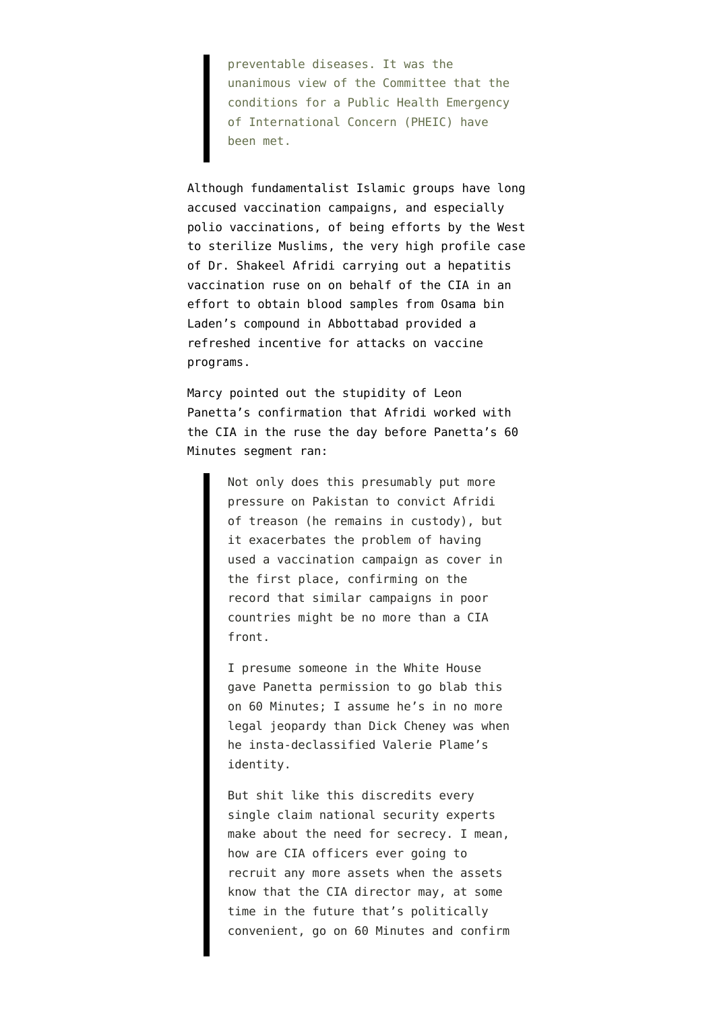preventable diseases. It was the unanimous view of the Committee that the conditions for a Public Health Emergency of International Concern (PHEIC) have been met.

Although fundamentalist Islamic groups have long accused vaccination campaigns, and especially polio vaccinations, of being efforts by the West to sterilize Muslims, the very high profile case of Dr. Shakeel Afridi carrying out a hepatitis vaccination ruse on on behalf of the CIA in an effort to obtain blood samples from Osama bin Laden's compound in Abbottabad provided a refreshed incentive for attacks on vaccine programs.

Marcy pointed out the stupidity of Leon Panetta's confirmation that Afridi worked with the CIA in the ruse [the day before Panetta's 60](http://www.emptywheel.net/2012/01/28/leon-panetta-and-the-pakistani-doctor-yet-more-double-standards-on-classified-information/) [Minutes segment ran](http://www.emptywheel.net/2012/01/28/leon-panetta-and-the-pakistani-doctor-yet-more-double-standards-on-classified-information/):

> Not only does this presumably put more pressure on Pakistan to convict Afridi of treason (he remains in custody), but it exacerbates the problem of having used a vaccination campaign as cover in the first place, confirming on the record that similar campaigns in poor countries might be no more than a CIA front.

I presume someone in the White House gave Panetta permission to go blab this on 60 Minutes; I assume he's in no more legal jeopardy than Dick Cheney was when he insta-declassified Valerie Plame's identity.

But shit like this discredits every single claim national security experts make about the need for secrecy. I mean, how are CIA officers ever going to recruit any more assets when the assets know that the CIA director may, at some time in the future that's politically convenient, go on 60 Minutes and confirm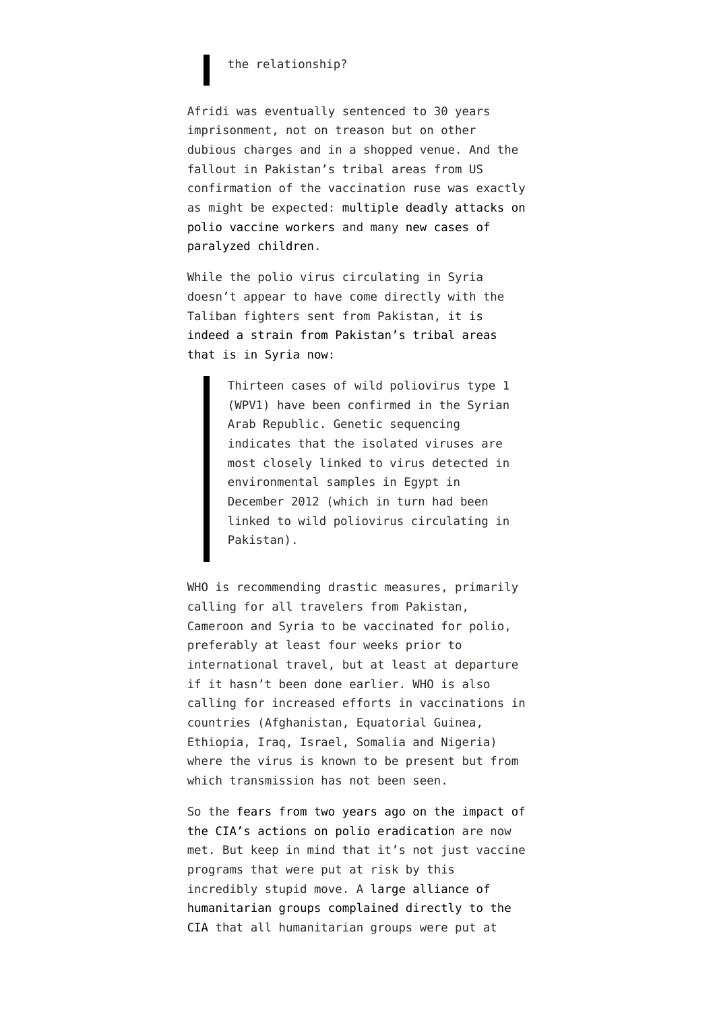## the relationship?

Afridi was eventually sentenced to 30 years imprisonment, not on treason but on other dubious charges and in a shopped venue. And the fallout in Pakistan's tribal areas from US confirmation of the vaccination ruse was exactly as might be expected: [multiple deadly attacks on](http://www.emptywheel.net/2012/12/18/five-polio-workers-in-pakistan-killed-in-further-fallout-from-panettas-leak/) [polio vaccine workers](http://www.emptywheel.net/2012/12/18/five-polio-workers-in-pakistan-killed-in-further-fallout-from-panettas-leak/) and many [new cases of](http://www.emptywheel.net/2013/05/06/sad-victory-for-pakistans-taliban-child-diagnosed-with-polio-in-region-where-vaccinations-were-denied/) [paralyzed children.](http://www.emptywheel.net/2013/05/06/sad-victory-for-pakistans-taliban-child-diagnosed-with-polio-in-region-where-vaccinations-were-denied/)

While the polio virus circulating in Syria doesn't appear to have come directly with the Taliban fighters sent from Pakistan, [it is](http://www.who.int/csr/don/2013_11_11polio/en/) [indeed a strain from Pakistan's tribal areas](http://www.who.int/csr/don/2013_11_11polio/en/) [that is in Syria now](http://www.who.int/csr/don/2013_11_11polio/en/):

> Thirteen cases of wild poliovirus type 1 (WPV1) have been confirmed in the Syrian Arab Republic. Genetic sequencing indicates that the isolated viruses are most closely linked to virus detected in environmental samples in Egypt in December 2012 (which in turn had been linked to wild poliovirus circulating in Pakistan).

WHO is recommending drastic measures, primarily calling for all travelers from Pakistan, Cameroon and Syria to be vaccinated for polio, preferably at least four weeks prior to international travel, but at least at departure if it hasn't been done earlier. WHO is also calling for increased efforts in vaccinations in countries (Afghanistan, Equatorial Guinea, Ethiopia, Iraq, Israel, Somalia and Nigeria) where the virus is known to be present but from which transmission has not been seen.

So the [fears from two years ago on the impact of](http://www.nytimes.com/2012/07/10/health/cia-vaccine-ruse-in-pakistan-may-have-harmed-polio-fight.html?pagewanted=all) [the CIA's actions on polio eradication](http://www.nytimes.com/2012/07/10/health/cia-vaccine-ruse-in-pakistan-may-have-harmed-polio-fight.html?pagewanted=all) are now met. But keep in mind that it's not just vaccine programs that were put at risk by this incredibly stupid move. A [large alliance of](http://www.dawn.com/news/699586/american-ngos-assail-cia-over-fake-polio-drive) [humanitarian groups complained directly to the](http://www.dawn.com/news/699586/american-ngos-assail-cia-over-fake-polio-drive) [CIA](http://www.dawn.com/news/699586/american-ngos-assail-cia-over-fake-polio-drive) that all humanitarian groups were put at